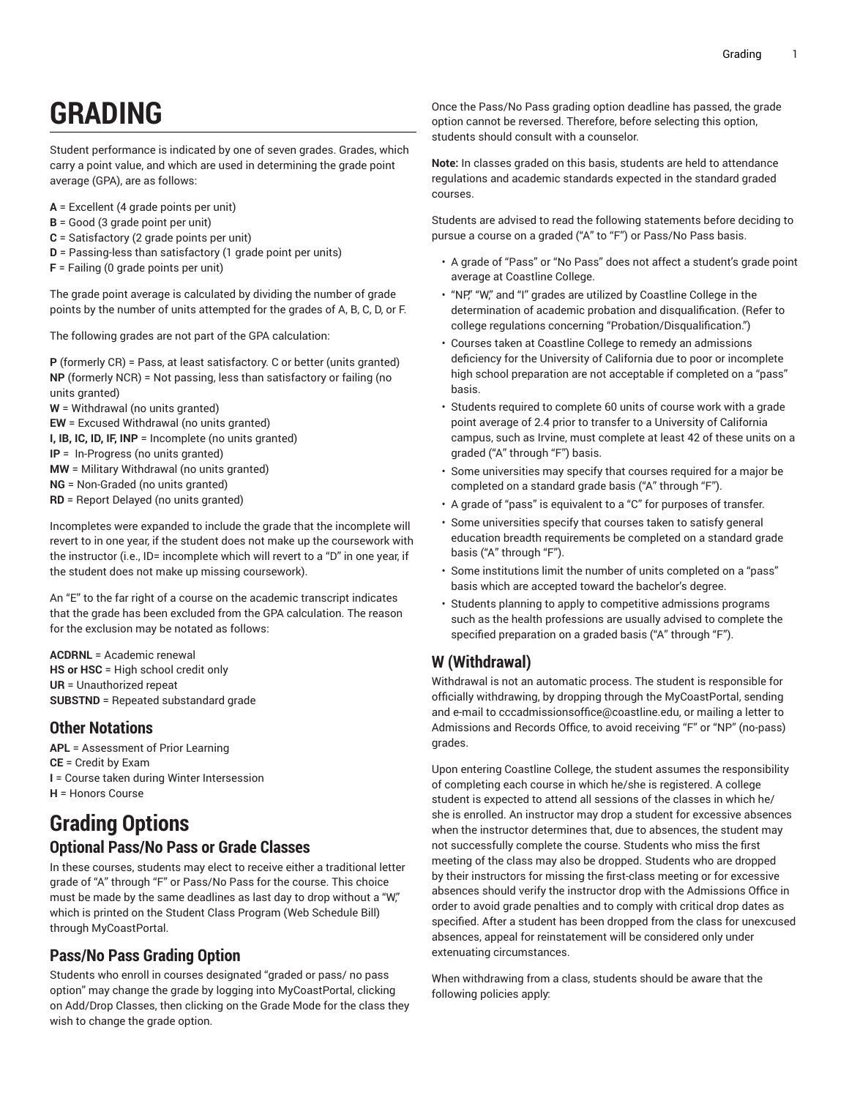# **GRADING**

Student performance is indicated by one of seven grades. Grades, which carry a point value, and which are used in determining the grade point average (GPA), are as follows:

- **A** = Excellent (4 grade points per unit)
- **B** = Good (3 grade point per unit)
- **C** = Satisfactory (2 grade points per unit)
- **D** = Passing-less than satisfactory (1 grade point per units)
- **F** = Failing (0 grade points per unit)

The grade point average is calculated by dividing the number of grade points by the number of units attempted for the grades of A, B, C, D, or F.

The following grades are not part of the GPA calculation:

- **P** (formerly CR) = Pass, at least satisfactory. C or better (units granted) **NP** (formerly NCR) = Not passing, less than satisfactory or failing (no units granted)
- **W** = Withdrawal (no units granted)
- **EW** = Excused Withdrawal (no units granted)
- **I, IB, IC, ID, IF, INP** = Incomplete (no units granted)
- **IP** = In-Progress (no units granted)
- **MW** = Military Withdrawal (no units granted)
- **NG** = Non-Graded (no units granted)
- **RD** = Report Delayed (no units granted)

Incompletes were expanded to include the grade that the incomplete will revert to in one year, if the student does not make up the coursework with the instructor (i.e., ID= incomplete which will revert to a "D" in one year, if the student does not make up missing coursework).

An "E" to the far right of a course on the academic transcript indicates that the grade has been excluded from the GPA calculation. The reason for the exclusion may be notated as follows:

**ACDRNL** = Academic renewal **HS or HSC** = High school credit only **UR** = Unauthorized repeat **SUBSTND** = Repeated substandard grade

## **Other Notations**

**APL** = Assessment of Prior Learning **CE** = Credit by Exam **I** = Course taken during Winter Intersession **H** = Honors Course

# **Grading Options Optional Pass/No Pass or Grade Classes**

In these courses, students may elect to receive either a traditional letter grade of "A" through "F" or Pass/No Pass for the course. This choice must be made by the same deadlines as last day to drop without a "W," which is printed on the Student Class Program (Web Schedule Bill) through MyCoastPortal.

## **Pass/No Pass Grading Option**

Students who enroll in courses designated "graded or pass/ no pass option" may change the grade by logging into MyCoastPortal, clicking on Add/Drop Classes, then clicking on the Grade Mode for the class they wish to change the grade option.

Once the Pass/No Pass grading option deadline has passed, the grade option cannot be reversed. Therefore, before selecting this option, students should consult with a counselor.

**Note:** In classes graded on this basis, students are held to attendance regulations and academic standards expected in the standard graded courses.

Students are advised to read the following statements before deciding to pursue a course on a graded ("A" to "F") or Pass/No Pass basis.

- A grade of "Pass" or "No Pass" does not affect a student's grade point average at Coastline College.
- "NP," "W," and "I" grades are utilized by Coastline College in the determination of academic probation and disqualification. (Refer to college regulations concerning "Probation/Disqualification.")
- Courses taken at Coastline College to remedy an admissions deficiency for the University of California due to poor or incomplete high school preparation are not acceptable if completed on a "pass" basis.
- Students required to complete 60 units of course work with a grade point average of 2.4 prior to transfer to a University of California campus, such as Irvine, must complete at least 42 of these units on a graded ("A" through "F") basis.
- Some universities may specify that courses required for a major be completed on a standard grade basis ("A" through "F").
- A grade of "pass" is equivalent to a "C" for purposes of transfer.
- Some universities specify that courses taken to satisfy general education breadth requirements be completed on a standard grade basis ("A" through "F").
- Some institutions limit the number of units completed on a "pass" basis which are accepted toward the bachelor's degree.
- Students planning to apply to competitive admissions programs such as the health professions are usually advised to complete the specified preparation on a graded basis ("A" through "F").

# **W (Withdrawal)**

Withdrawal is not an automatic process. The student is responsible for officially withdrawing, by dropping through the MyCoastPortal, sending and e-mail to [cccadmissionsoffice@coastline.edu,](mailto:cccadmissionsoffice@coastline.edu) or mailing a letter to Admissions and Records Office, to avoid receiving "F" or "NP" (no-pass) grades.

Upon entering Coastline College, the student assumes the responsibility of completing each course in which he/she is registered. A college student is expected to attend all sessions of the classes in which he/ she is enrolled. An instructor may drop a student for excessive absences when the instructor determines that, due to absences, the student may not successfully complete the course. Students who miss the first meeting of the class may also be dropped. Students who are dropped by their instructors for missing the first-class meeting or for excessive absences should verify the instructor drop with the Admissions Office in order to avoid grade penalties and to comply with critical drop dates as specified. After a student has been dropped from the class for unexcused absences, appeal for reinstatement will be considered only under extenuating circumstances.

When withdrawing from a class, students should be aware that the following policies apply: